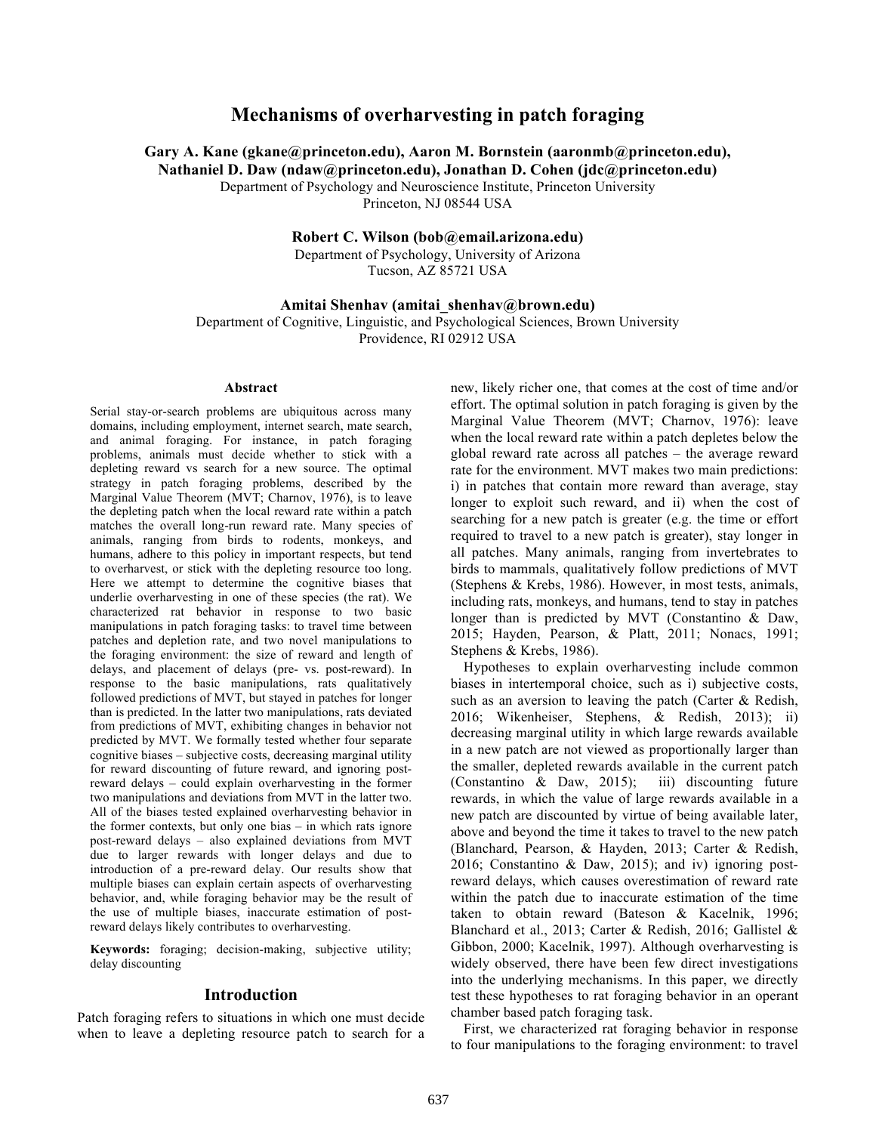# **Mechanisms of overharvesting in patch foraging**

**Gary A. Kane (gkane@princeton.edu), Aaron M. Bornstein (aaronmb@princeton.edu),**

**Nathaniel D. Daw (ndaw@princeton.edu), Jonathan D. Cohen (jdc@princeton.edu)**

Department of Psychology and Neuroscience Institute, Princeton University

Princeton, NJ 08544 USA

**Robert C. Wilson (bob@email.arizona.edu)**

Department of Psychology, University of Arizona Tucson, AZ 85721 USA

**Amitai Shenhav (amitai\_shenhav@brown.edu)**

Department of Cognitive, Linguistic, and Psychological Sciences, Brown University Providence, RI 02912 USA

#### **Abstract**

Serial stay-or-search problems are ubiquitous across many domains, including employment, internet search, mate search, and animal foraging. For instance, in patch foraging problems, animals must decide whether to stick with a depleting reward vs search for a new source. The optimal strategy in patch foraging problems, described by the Marginal Value Theorem (MVT; Charnov, 1976), is to leave the depleting patch when the local reward rate within a patch matches the overall long-run reward rate. Many species of animals, ranging from birds to rodents, monkeys, and humans, adhere to this policy in important respects, but tend to overharvest, or stick with the depleting resource too long. Here we attempt to determine the cognitive biases that underlie overharvesting in one of these species (the rat). We characterized rat behavior in response to two basic manipulations in patch foraging tasks: to travel time between patches and depletion rate, and two novel manipulations to the foraging environment: the size of reward and length of delays, and placement of delays (pre- vs. post-reward). In response to the basic manipulations, rats qualitatively followed predictions of MVT, but stayed in patches for longer than is predicted. In the latter two manipulations, rats deviated from predictions of MVT, exhibiting changes in behavior not predicted by MVT. We formally tested whether four separate cognitive biases – subjective costs, decreasing marginal utility for reward discounting of future reward, and ignoring postreward delays – could explain overharvesting in the former two manipulations and deviations from MVT in the latter two. All of the biases tested explained overharvesting behavior in the former contexts, but only one bias – in which rats ignore post-reward delays – also explained deviations from MVT due to larger rewards with longer delays and due to introduction of a pre-reward delay. Our results show that multiple biases can explain certain aspects of overharvesting behavior, and, while foraging behavior may be the result of the use of multiple biases, inaccurate estimation of postreward delays likely contributes to overharvesting.

**Keywords:** foraging; decision-making, subjective utility; delay discounting

# **Introduction**

Patch foraging refers to situations in which one must decide when to leave a depleting resource patch to search for a new, likely richer one, that comes at the cost of time and/or effort. The optimal solution in patch foraging is given by the Marginal Value Theorem (MVT; Charnov, 1976): leave when the local reward rate within a patch depletes below the global reward rate across all patches – the average reward rate for the environment. MVT makes two main predictions: i) in patches that contain more reward than average, stay longer to exploit such reward, and ii) when the cost of searching for a new patch is greater (e.g. the time or effort required to travel to a new patch is greater), stay longer in all patches. Many animals, ranging from invertebrates to birds to mammals, qualitatively follow predictions of MVT (Stephens & Krebs, 1986). However, in most tests, animals, including rats, monkeys, and humans, tend to stay in patches longer than is predicted by MVT (Constantino & Daw, 2015; Hayden, Pearson, & Platt, 2011; Nonacs, 1991; Stephens & Krebs, 1986).

Hypotheses to explain overharvesting include common biases in intertemporal choice, such as i) subjective costs, such as an aversion to leaving the patch (Carter & Redish, 2016; Wikenheiser, Stephens, & Redish, 2013); ii) decreasing marginal utility in which large rewards available in a new patch are not viewed as proportionally larger than the smaller, depleted rewards available in the current patch (Constantino & Daw, 2015); iii) discounting future rewards, in which the value of large rewards available in a new patch are discounted by virtue of being available later, above and beyond the time it takes to travel to the new patch (Blanchard, Pearson, & Hayden, 2013; Carter & Redish, 2016; Constantino & Daw, 2015); and iv) ignoring postreward delays, which causes overestimation of reward rate within the patch due to inaccurate estimation of the time taken to obtain reward (Bateson & Kacelnik, 1996; Blanchard et al., 2013; Carter & Redish, 2016; Gallistel & Gibbon, 2000; Kacelnik, 1997). Although overharvesting is widely observed, there have been few direct investigations into the underlying mechanisms. In this paper, we directly test these hypotheses to rat foraging behavior in an operant chamber based patch foraging task.

First, we characterized rat foraging behavior in response to four manipulations to the foraging environment: to travel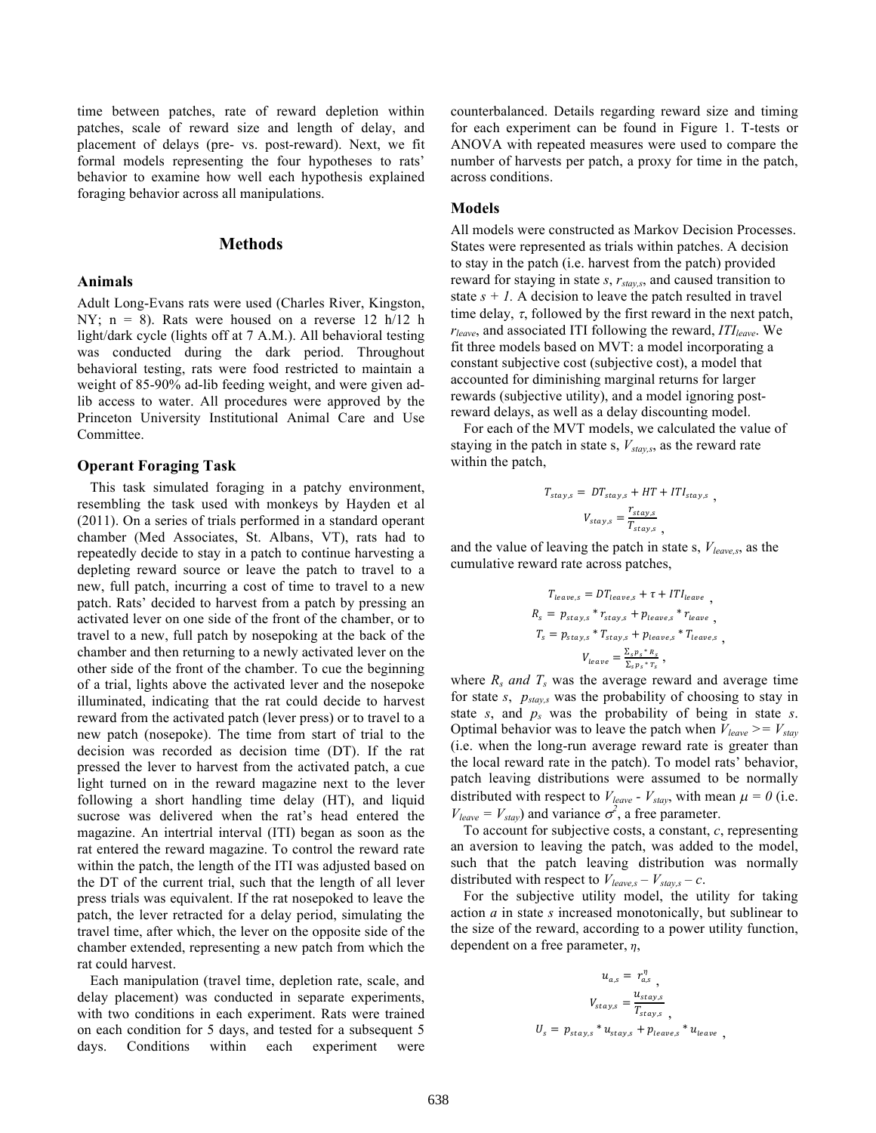time between patches, rate of reward depletion within patches, scale of reward size and length of delay, and placement of delays (pre- vs. post-reward). Next, we fit formal models representing the four hypotheses to rats' behavior to examine how well each hypothesis explained foraging behavior across all manipulations.

# **Methods**

# **Animals**

Adult Long-Evans rats were used (Charles River, Kingston, NY;  $n = 8$ ). Rats were housed on a reverse 12 h/12 h light/dark cycle (lights off at 7 A.M.). All behavioral testing was conducted during the dark period. Throughout behavioral testing, rats were food restricted to maintain a weight of 85-90% ad-lib feeding weight, and were given adlib access to water. All procedures were approved by the Princeton University Institutional Animal Care and Use Committee.

### **Operant Foraging Task**

This task simulated foraging in a patchy environment, resembling the task used with monkeys by Hayden et al (2011). On a series of trials performed in a standard operant chamber (Med Associates, St. Albans, VT), rats had to repeatedly decide to stay in a patch to continue harvesting a depleting reward source or leave the patch to travel to a new, full patch, incurring a cost of time to travel to a new patch. Rats' decided to harvest from a patch by pressing an activated lever on one side of the front of the chamber, or to travel to a new, full patch by nosepoking at the back of the chamber and then returning to a newly activated lever on the other side of the front of the chamber. To cue the beginning of a trial, lights above the activated lever and the nosepoke illuminated, indicating that the rat could decide to harvest reward from the activated patch (lever press) or to travel to a new patch (nosepoke). The time from start of trial to the decision was recorded as decision time (DT). If the rat pressed the lever to harvest from the activated patch, a cue light turned on in the reward magazine next to the lever following a short handling time delay (HT), and liquid sucrose was delivered when the rat's head entered the magazine. An intertrial interval (ITI) began as soon as the rat entered the reward magazine. To control the reward rate within the patch, the length of the ITI was adjusted based on the DT of the current trial, such that the length of all lever press trials was equivalent. If the rat nosepoked to leave the patch, the lever retracted for a delay period, simulating the travel time, after which, the lever on the opposite side of the chamber extended, representing a new patch from which the rat could harvest.

Each manipulation (travel time, depletion rate, scale, and delay placement) was conducted in separate experiments, with two conditions in each experiment. Rats were trained on each condition for 5 days, and tested for a subsequent 5 days. Conditions within each experiment were counterbalanced. Details regarding reward size and timing for each experiment can be found in Figure 1. T-tests or ANOVA with repeated measures were used to compare the number of harvests per patch, a proxy for time in the patch, across conditions.

## **Models**

All models were constructed as Markov Decision Processes. States were represented as trials within patches. A decision to stay in the patch (i.e. harvest from the patch) provided reward for staying in state *s*, *rstay,s*, and caused transition to state  $s + I$ . A decision to leave the patch resulted in travel time delay,  $\tau$ , followed by the first reward in the next patch,  $r_{leave}$ , and associated ITI following the reward, *ITI<sub>leave</sub>*. We fit three models based on MVT: a model incorporating a constant subjective cost (subjective cost), a model that accounted for diminishing marginal returns for larger rewards (subjective utility), and a model ignoring postreward delays, as well as a delay discounting model.

For each of the MVT models, we calculated the value of staying in the patch in state s,  $V_{\text{star},s}$ , as the reward rate within the patch,

$$
T_{stay,s} = DT_{stay,s} + HT + ITI_{stay,s}
$$

$$
V_{stay,s} = \frac{r_{stay,s}}{T_{stay,s}}
$$

and the value of leaving the patch in state s, *Vleave,s*, as the cumulative reward rate across patches,

$$
T_{leaves} = DT_{leaves} + \tau + ITI_{leave},
$$
  
\n
$$
R_s = p_{stay,s} * r_{stay,s} + p_{leaves} * r_{leave},
$$
  
\n
$$
T_s = p_{stay,s} * T_{stay,s} + p_{leaves,s} * T_{leave,s},
$$
  
\n
$$
V_{leave} = \frac{\sum_{s} p_s * n_s}{\sum_{s} p_s * r_s},
$$

where  $R_s$  *and*  $T_s$  was the average reward and average time for state *s*, *pstay,s* was the probability of choosing to stay in state *s*, and *ps* was the probability of being in state *s*. Optimal behavior was to leave the patch when  $V_{leave}$  >=  $V_{stay}$ (i.e. when the long-run average reward rate is greater than the local reward rate in the patch). To model rats' behavior, patch leaving distributions were assumed to be normally distributed with respect to  $V_{leave}$  -  $V_{stay}$ , with mean  $\mu = 0$  (i.e.  $V_{leave} = V_{stay}$  and variance  $\sigma^2$ , a free parameter.

To account for subjective costs, a constant, *c*, representing an aversion to leaving the patch, was added to the model, such that the patch leaving distribution was normally distributed with respect to  $V_{leaves} - V_{stay,s} - c$ .

For the subjective utility model, the utility for taking action *a* in state *s* increased monotonically, but sublinear to the size of the reward, according to a power utility function, dependent on a free parameter,  $\eta$ ,

$$
u_{a,s} = r_{a,s}^{\eta},
$$
  
\n
$$
V_{stay,s} = \frac{u_{stay,s}}{T_{stay,s}},
$$
  
\n
$$
U_s = p_{stay,s} * u_{stay,s} + p_{leaves,s} * u_{leave},
$$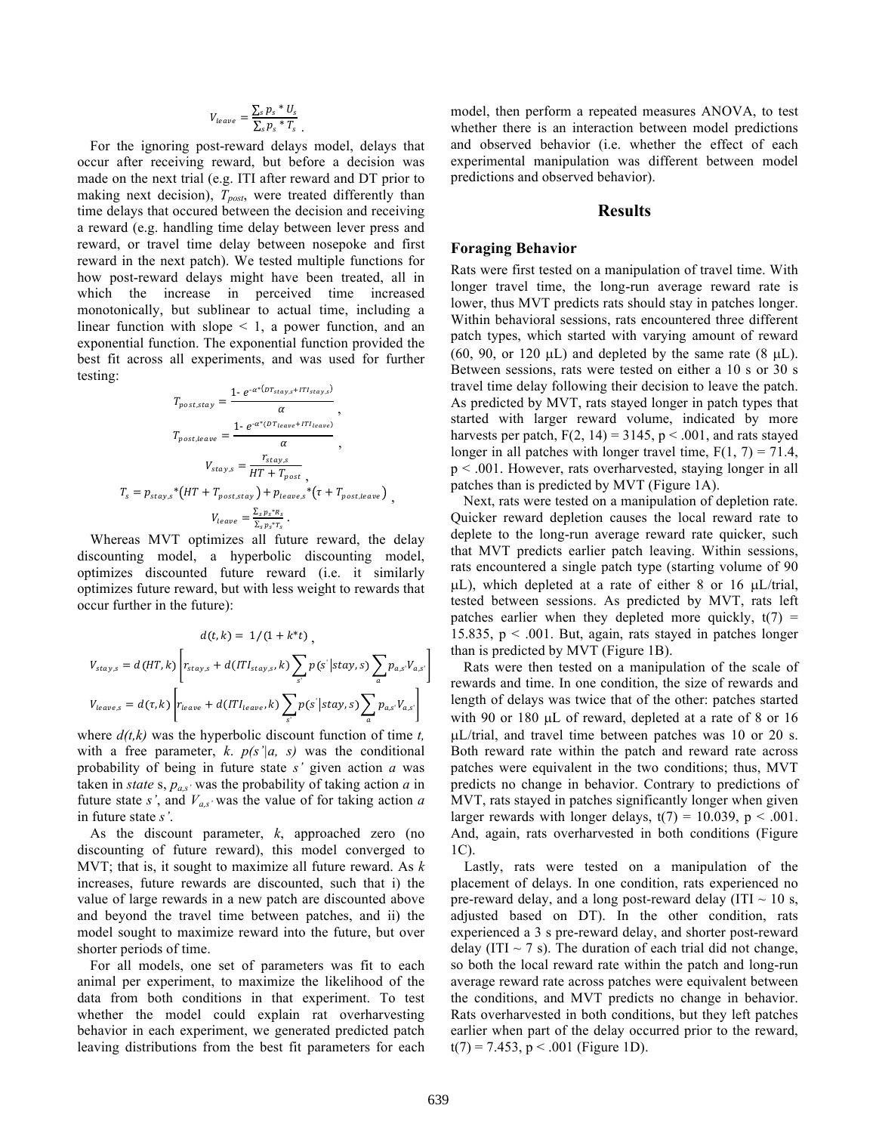$$
V_{leave} = \frac{\sum_{s} p_s * U_s}{\sum_{s} p_s * T_s}.
$$

For the ignoring post-reward delays model, delays that occur after receiving reward, but before a decision was made on the next trial (e.g. ITI after reward and DT prior to making next decision),  $T_{post}$ , were treated differently than time delays that occured between the decision and receiving a reward (e.g. handling time delay between lever press and reward, or travel time delay between nosepoke and first reward in the next patch). We tested multiple functions for how post-reward delays might have been treated, all in which the increase in perceived time increased monotonically, but sublinear to actual time, including a linear function with slope  $\leq 1$ , a power function, and an exponential function. The exponential function provided the best fit across all experiments, and was used for further testing:

$$
T_{post,stay} = \frac{1 \cdot e^{-\alpha^*(D_{stays} + IT_{stay,s})}}{\alpha},
$$
  
\n
$$
T_{post,leave} = \frac{1 \cdot e^{-\alpha^*(DT_{leave} + IT_{leave})}}{\alpha},
$$
  
\n
$$
V_{stay,s} = \frac{r_{stay,s}}{HT + T_{post}},
$$
  
\n
$$
T_s = p_{stay,s} * (HT + T_{post,stay}) + p_{leave,s} * (\tau + T_{post,leave})
$$
  
\n
$$
V_{leave} = \frac{\sum_{s} p_s * R_s}{\sum_{s} p_s * r_s}.
$$

Whereas MVT optimizes all future reward, the delay discounting model, a hyperbolic discounting model, optimizes discounted future reward (i.e. it similarly optimizes future reward, but with less weight to rewards that occur further in the future):

$$
d(t,k) = 1/(1 + k^*t),
$$
  
\n
$$
V_{stay,s} = d(HT,k) \left[ r_{stay,s} + d(TT_{stay,s},k) \sum_{s'} p(s'|stay,s) \sum_{a} p_{a,s'} V_{a,s'} \right]
$$
  
\n
$$
V_{leaves} = d(\tau,k) \left[ r_{leave} + d(TT_{leave},k) \sum_{s'} p(s'|stay,s) \sum_{a} p_{a,s'} V_{a,s'} \right]
$$

where *d(t,k)* was the hyperbolic discount function of time *t,* with a free parameter,  $k$ .  $p(s'|a, s)$  was the conditional probability of being in future state *s'* given action *a* was taken in *state* s,  $p_{as}$  was the probability of taking action *a* in future state *s'*, and  $V_{a,s}$ ' was the value of for taking action *a* in future state *s'*.

As the discount parameter, *k*, approached zero (no discounting of future reward), this model converged to MVT; that is, it sought to maximize all future reward. As *k* increases, future rewards are discounted, such that i) the value of large rewards in a new patch are discounted above and beyond the travel time between patches, and ii) the model sought to maximize reward into the future, but over shorter periods of time.

For all models, one set of parameters was fit to each animal per experiment, to maximize the likelihood of the data from both conditions in that experiment. To test whether the model could explain rat overharvesting behavior in each experiment, we generated predicted patch leaving distributions from the best fit parameters for each model, then perform a repeated measures ANOVA, to test whether there is an interaction between model predictions and observed behavior (i.e. whether the effect of each experimental manipulation was different between model predictions and observed behavior).

# **Results**

#### **Foraging Behavior**

Rats were first tested on a manipulation of travel time. With longer travel time, the long-run average reward rate is lower, thus MVT predicts rats should stay in patches longer. Within behavioral sessions, rats encountered three different patch types, which started with varying amount of reward (60, 90, or 120  $\mu$ L) and depleted by the same rate (8  $\mu$ L). Between sessions, rats were tested on either a 10 s or 30 s travel time delay following their decision to leave the patch. As predicted by MVT, rats stayed longer in patch types that started with larger reward volume, indicated by more harvests per patch,  $F(2, 14) = 3145$ ,  $p < .001$ , and rats stayed longer in all patches with longer travel time,  $F(1, 7) = 71.4$ , p < .001. However, rats overharvested, staying longer in all patches than is predicted by MVT (Figure 1A).

Next, rats were tested on a manipulation of depletion rate. Quicker reward depletion causes the local reward rate to deplete to the long-run average reward rate quicker, such that MVT predicts earlier patch leaving. Within sessions, rats encountered a single patch type (starting volume of 90 µL), which depleted at a rate of either 8 or 16 µL/trial, tested between sessions. As predicted by MVT, rats left patches earlier when they depleted more quickly,  $t(7)$  = 15.835,  $p < .001$ . But, again, rats stayed in patches longer than is predicted by MVT (Figure 1B).

Rats were then tested on a manipulation of the scale of rewards and time. In one condition, the size of rewards and length of delays was twice that of the other: patches started with 90 or 180 µL of reward, depleted at a rate of 8 or 16 µL/trial, and travel time between patches was 10 or 20 s. Both reward rate within the patch and reward rate across patches were equivalent in the two conditions; thus, MVT predicts no change in behavior. Contrary to predictions of MVT, rats stayed in patches significantly longer when given larger rewards with longer delays,  $t(7) = 10.039$ ,  $p < .001$ . And, again, rats overharvested in both conditions (Figure 1C).

Lastly, rats were tested on a manipulation of the placement of delays. In one condition, rats experienced no pre-reward delay, and a long post-reward delay (ITI  $\sim$  10 s, adjusted based on DT). In the other condition, rats experienced a 3 s pre-reward delay, and shorter post-reward delay (ITI  $\sim$  7 s). The duration of each trial did not change, so both the local reward rate within the patch and long-run average reward rate across patches were equivalent between the conditions, and MVT predicts no change in behavior. Rats overharvested in both conditions, but they left patches earlier when part of the delay occurred prior to the reward,  $t(7) = 7.453$ , p < .001 (Figure 1D).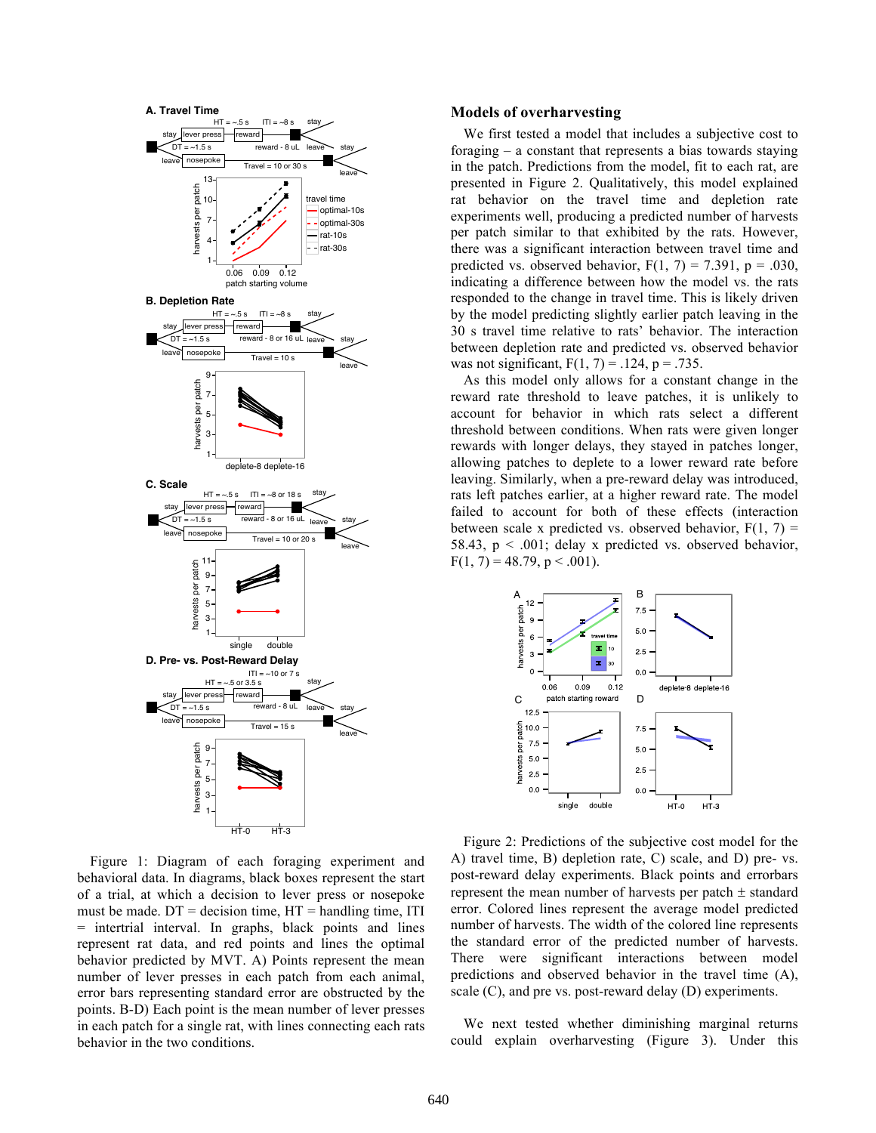

Figure 1: Diagram of each foraging experiment and behavioral data. In diagrams, black boxes represent the start of a trial, at which a decision to lever press or nosepoke must be made.  $DT =$  decision time,  $HT =$  handling time, ITI = intertrial interval. In graphs, black points and lines represent rat data, and red points and lines the optimal behavior predicted by MVT. A) Points represent the mean number of lever presses in each patch from each animal, error bars representing standard error are obstructed by the points. B-D) Each point is the mean number of lever presses in each patch for a single rat, with lines connecting each rats behavior in the two conditions.

#### **Models of overharvesting**

We first tested a model that includes a subjective cost to foraging – a constant that represents a bias towards staying in the patch. Predictions from the model, fit to each rat, are presented in Figure 2. Qualitatively, this model explained rat behavior on the travel time and depletion rate experiments well, producing a predicted number of harvests per patch similar to that exhibited by the rats. However, there was a significant interaction between travel time and predicted vs. observed behavior,  $F(1, 7) = 7.391$ ,  $p = .030$ , indicating a difference between how the model vs. the rats responded to the change in travel time. This is likely driven by the model predicting slightly earlier patch leaving in the 30 s travel time relative to rats' behavior. The interaction between depletion rate and predicted vs. observed behavior was not significant,  $F(1, 7) = .124$ ,  $p = .735$ .

As this model only allows for a constant change in the reward rate threshold to leave patches, it is unlikely to account for behavior in which rats select a different threshold between conditions. When rats were given longer rewards with longer delays, they stayed in patches longer, allowing patches to deplete to a lower reward rate before leaving. Similarly, when a pre-reward delay was introduced, rats left patches earlier, at a higher reward rate. The model failed to account for both of these effects (interaction between scale x predicted vs. observed behavior,  $F(1, 7) =$ 58.43,  $p < .001$ ; delay x predicted vs. observed behavior,  $F(1, 7) = 48.79$ ,  $p < .001$ ).



Figure 2: Predictions of the subjective cost model for the A) travel time, B) depletion rate, C) scale, and D) pre- vs. post-reward delay experiments. Black points and errorbars represent the mean number of harvests per patch ± standard error. Colored lines represent the average model predicted number of harvests. The width of the colored line represents the standard error of the predicted number of harvests. There were significant interactions between model predictions and observed behavior in the travel time (A), scale (C), and pre vs. post-reward delay (D) experiments.

We next tested whether diminishing marginal returns could explain overharvesting (Figure 3). Under this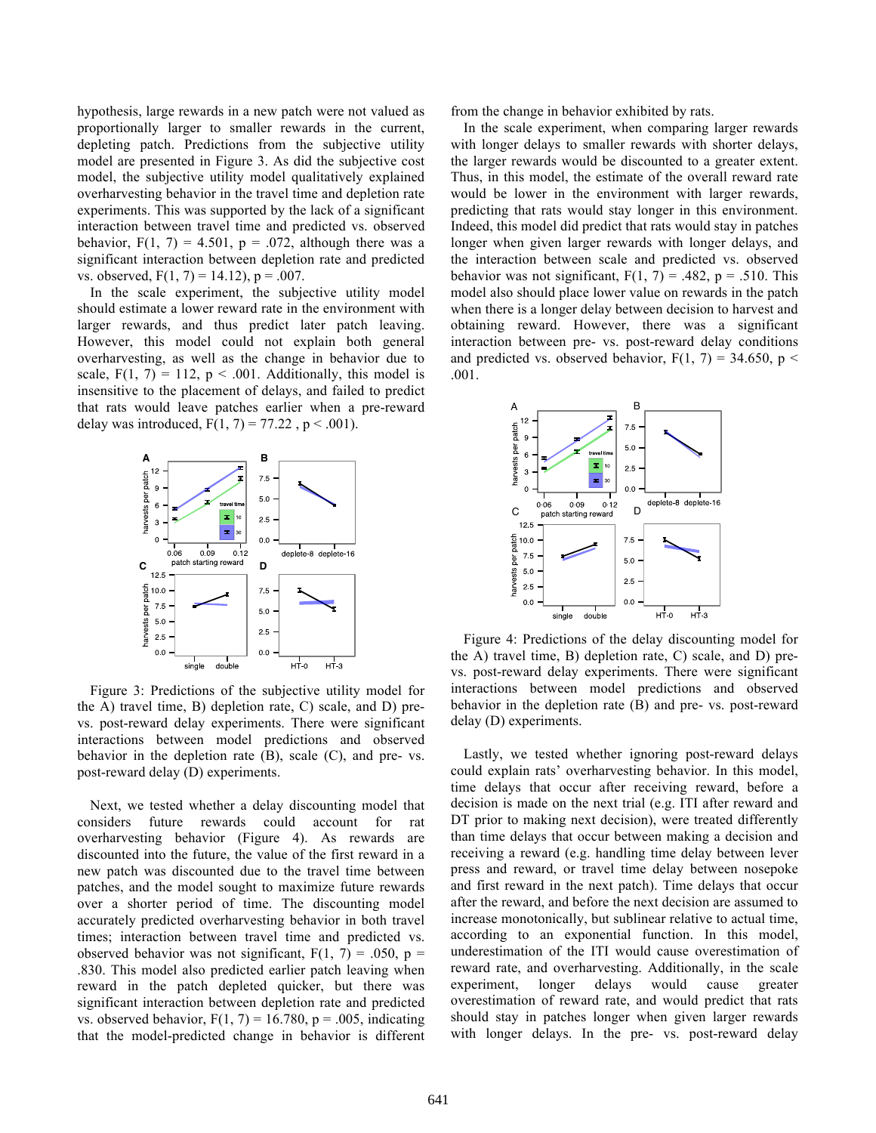hypothesis, large rewards in a new patch were not valued as proportionally larger to smaller rewards in the current, depleting patch. Predictions from the subjective utility model are presented in Figure 3. As did the subjective cost model, the subjective utility model qualitatively explained overharvesting behavior in the travel time and depletion rate experiments. This was supported by the lack of a significant interaction between travel time and predicted vs. observed behavior,  $F(1, 7) = 4.501$ ,  $p = .072$ , although there was a significant interaction between depletion rate and predicted vs. observed,  $F(1, 7) = 14.12$ ,  $p = .007$ .

In the scale experiment, the subjective utility model should estimate a lower reward rate in the environment with larger rewards, and thus predict later patch leaving. However, this model could not explain both general overharvesting, as well as the change in behavior due to scale,  $F(1, 7) = 112$ ,  $p < .001$ . Additionally, this model is insensitive to the placement of delays, and failed to predict that rats would leave patches earlier when a pre-reward delay was introduced,  $F(1, 7) = 77.22$ ,  $p < .001$ ).



Figure 3: Predictions of the subjective utility model for the A) travel time, B) depletion rate, C) scale, and D) prevs. post-reward delay experiments. There were significant interactions between model predictions and observed behavior in the depletion rate (B), scale (C), and pre- vs. post-reward delay (D) experiments.

Next, we tested whether a delay discounting model that considers future rewards could account for rat overharvesting behavior (Figure 4). As rewards are discounted into the future, the value of the first reward in a new patch was discounted due to the travel time between patches, and the model sought to maximize future rewards over a shorter period of time. The discounting model accurately predicted overharvesting behavior in both travel times; interaction between travel time and predicted vs. observed behavior was not significant,  $F(1, 7) = .050$ ,  $p =$ .830. This model also predicted earlier patch leaving when reward in the patch depleted quicker, but there was significant interaction between depletion rate and predicted vs. observed behavior,  $F(1, 7) = 16.780$ ,  $p = .005$ , indicating that the model-predicted change in behavior is different from the change in behavior exhibited by rats.

In the scale experiment, when comparing larger rewards with longer delays to smaller rewards with shorter delays, the larger rewards would be discounted to a greater extent. Thus, in this model, the estimate of the overall reward rate would be lower in the environment with larger rewards, predicting that rats would stay longer in this environment. Indeed, this model did predict that rats would stay in patches longer when given larger rewards with longer delays, and the interaction between scale and predicted vs. observed behavior was not significant,  $F(1, 7) = .482$ ,  $p = .510$ . This model also should place lower value on rewards in the patch when there is a longer delay between decision to harvest and obtaining reward. However, there was a significant interaction between pre- vs. post-reward delay conditions and predicted vs. observed behavior,  $F(1, 7) = 34.650$ , p < .001.



Figure 4: Predictions of the delay discounting model for the A) travel time, B) depletion rate, C) scale, and D) prevs. post-reward delay experiments. There were significant interactions between model predictions and observed behavior in the depletion rate (B) and pre- vs. post-reward delay (D) experiments.

Lastly, we tested whether ignoring post-reward delays could explain rats' overharvesting behavior. In this model, time delays that occur after receiving reward, before a decision is made on the next trial (e.g. ITI after reward and DT prior to making next decision), were treated differently than time delays that occur between making a decision and receiving a reward (e.g. handling time delay between lever press and reward, or travel time delay between nosepoke and first reward in the next patch). Time delays that occur after the reward, and before the next decision are assumed to increase monotonically, but sublinear relative to actual time, according to an exponential function. In this model, underestimation of the ITI would cause overestimation of reward rate, and overharvesting. Additionally, in the scale experiment, longer delays would cause greater overestimation of reward rate, and would predict that rats should stay in patches longer when given larger rewards with longer delays. In the pre- vs. post-reward delay